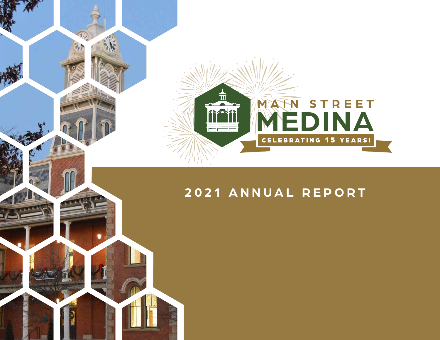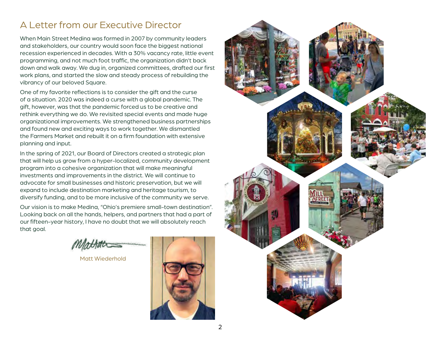### A Letter from our Executive Director

When Main Street Medina was formed in 2007 by community leaders and stakeholders, our country would soon face the biggest national recession experienced in decades. With a 30% vacancy rate, little event programming, and not much foot traffic, the organization didn't back down and walk away. We dug in, organized committees, drafted our first work plans, and started the slow and steady process of rebuilding the vibrancy of our beloved Square.

One of my favorite reflections is to consider the gift and the curse of a situation. 2020 was indeed a curse with a global pandemic. The gift, however, was that the pandemic forced us to be creative and rethink everything we do. We revisited special events and made huge organizational improvements. We strengthened business partnerships and found new and exciting ways to work together. We dismantled the Farmers Market and rebuilt it on a firm foundation with extensive planning and input.

In the spring of 2021, our Board of Directors created a strategic plan that will help us grow from a hyper-localized, community development program into a cohesive organization that will make meaningful investments and improvements in the district. We will continue to advocate for small businesses and historic preservation, but we will expand to include destination marketing and heritage tourism, to diversify funding, and to be more inclusive of the community we serve.

Our vision is to make Medina, "Ohio's premiere small-town destination". Looking back on all the hands, helpers, and partners that had a part of our fifteen-year history, I have no doubt that we will absolutely reach that goal.

Matt Wiederhold



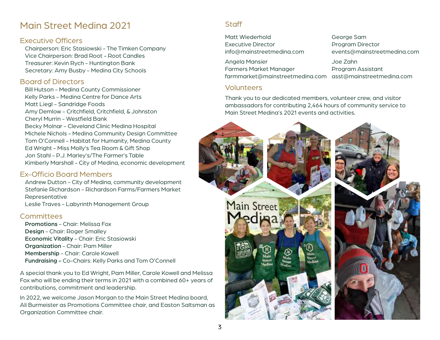### Main Street Medina 2021

#### Executive Officers

Chairperson: Eric Stasiowski - The Timken Company Vice Chairperson: Brad Root - Root Candles Treasurer: Kevin Rych - Huntington Bank Secretary: Amy Busby - Medina City Schools

#### Board of Directors

Bill Hutson - Medina County Commissioner Kelly Parks - Medina Centre for Dance Arts Matt Liegl - Sandridge Foods Amy Demlow - Critchfield, Critchfield, & Johnston Cheryl Murrin - Westfield Bank Becky Molnar - Cleveland Clinic Medina Hospital Michele Nichols - Medina Community Design Committee Tom O'Connell - Habitat for Humanity, Medina County Ed Wright - Miss Molly's Tea Room & Gift Shop Jon Stahl - P.J. Marley's/The Farmer's Table Kimberly Marshall - City of Medina, economic development

#### Ex-Officio Board Members

Andrew Dutton - City of Medina, community development Stefanie Richardson - Richardson Farms/Farmers Market Representative Leslie Traves - Labyrinth Management Group

#### Committees

Promotions - Chair: Melissa Fox Design - Chair: Roger Smalley Economic Vitality - Chair: Eric Stasiowski Organization - Chair: Pam Miller Membership - Chair: Carole Kowell Fundraising - Co-Chairs: Kelly Parks and Tom O'Connell

A special thank you to Ed Wright, Pam Miller, Carole Kowell and Melissa Fox who will be ending their terms in 2021 with a combined 60+ years of contributions, commitment and leadership.

In 2022, we welcome Jason Morgan to the Main Street Medina board, Ali Burmeister as Promotions Committee chair, and Easton Saltsman as Organization Committee chair.

#### **Staff**

Matt Wiederhold George Sam Executive Director **Executive Director** 

Angela Mansier Joe Zahn Farmers Market Manager Program Assistant farmmarket@mainstreetmedina.com asst@mainstreetmedina.com

#### Volunteers

Thank you to our dedicated members, volunteer crew, and visitor ambassadors for contributing 2,464 hours of community service to Main Street Medina's 2021 events and activities.



info@mainstreetmedina.com events@mainstreetmedina.com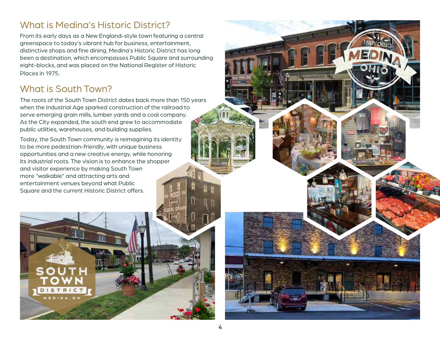## What is Medina's Historic District?

From its early days as a New England-style town featuring a central greenspace to today's vibrant hub for business, entertainment, distinctive shops and fine dining, Medina's Historic District has long been a destination, which encompasses Public Square and surrounding eight-blocks, and was placed on the National Register of Historic Places in 1975.

### What is South Town?

The roots of the South Town District dates back more than 150 years when the Industrial Age sparked construction of the railroad to serve emerging grain mills, lumber yards and a coal company. As the City expanded, the south end grew to accommodate public utilities, warehouses, and building supplies.

Today, the South Town community is reimagining its identity to be more pedestrian-friendly, with unique business opportunities and a new creative energy, while honoring its industrial roots. The vision is to enhance the shopper and visitor experience by making South Town more "walkable" and attracting arts and entertainment venues beyond what Public Square and the current Historic District offers.



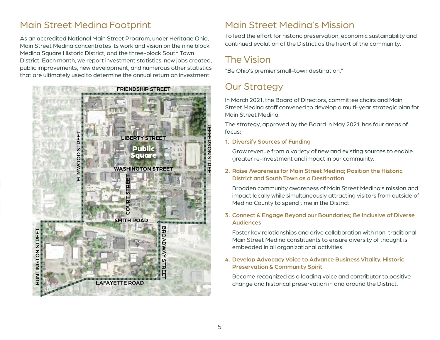## Main Street Medina Footprint

As an accredited National Main Street Program, under Heritage Ohio, Main Street Medina concentrates its work and vision on the nine block Medina Square Historic District, and the three-block South Town District. Each month, we report investment statistics, new jobs created, public improvements, new development, and numerous other statistics that are ultimately used to determine the annual return on investment.



### Main Street Medina's Mission

To lead the effort for historic preservation, economic sustainability and continued evolution of the District as the heart of the community.

## The Vision

"Be Ohio's premier small-town destination."

## Our Strategy

In March 2021, the Board of Directors, committee chairs and Main Street Medina staff convened to develop a multi-year strategic plan for Main Street Medina.

The strategy, approved by the Board in May 2021, has four areas of focus:

1. Diversify Sources of Funding

Grow revenue from a variety of new and existing sources to enable greater re-investment and impact in our community.

#### 2. Raise Awareness for Main Street Medina; Position the Historic District and South Town as a Destination

Broaden community awareness of Main Street Medina's mission and impact locally while simultaneously attracting visitors from outside of Medina County to spend time in the District.

#### 3. Connect & Engage Beyond our Boundaries; Be Inclusive of Diverse Audiences

Foster key relationships and drive collaboration with non-traditional Main Street Medina constituents to ensure diversity of thought is embedded in all organizational activities.

#### 4. Develop Advocacy Voice to Advance Business Vitality, Historic Preservation & Community Spirit

Become recognized as a leading voice and contributor to positive change and historical preservation in and around the District.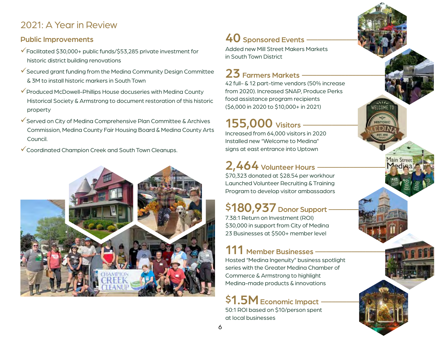## 2021: A Year in Review

#### Public Improvements

- $\checkmark$  Facilitated \$30,000+ public funds/\$53,285 private investment for historic district building renovations
- $\checkmark$  Secured grant funding from the Medina Community Design Committee & 3M to install historic markers in South Town
- $\checkmark$  Produced McDowell-Phillips House docuseries with Medina County Historical Society & Armstrong to document restoration of this historic property
- Served on City of Medina Comprehensive Plan Committee & Archives Commission, Medina County Fair Housing Board & Medina County Arts Council.
- Coordinated Champion Creek and South Town Cleanups.



# $40$  Sponsored Events -

Added new Mill Street Makers Markets in South Town District

# $23$  Farmers Markets  $-$

42 full- & 12 part-time vendors (50% increase from 2020). Increased SNAP, Produce Perks food assistance program recipients (\$6,000 in 2020 to \$10,000+ in 2021)

**VELCOME TO** 

# **155,000** Visitors -

Increased from 64,000 visitors in 2020 Installed new "Welcome to Medina" signs at east entrance into Uptown

# $2,464$  Volunteer Hours

\$70,323 donated at \$28.54 per workhour Launched Volunteer Recruiting & Training Program to develop visitor ambassadors

# \$180,937 Donor Support -

7.38:1 Return on Investment (ROI) \$30,000 in support from City of Medina 23 Businesses at \$500+ member level

# 111 Member Businesses -

Hosted "Medina Ingenuity" business spotlight series with the Greater Medina Chamber of Commerce & Armstrong to highlight Medina-made products & innovations

# \$1.5M Economic Impact -

50:1 ROI based on \$10/person spent at local businesses

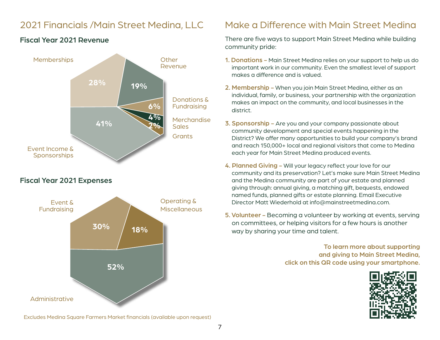## 2021 Financials /Main Street Medina, LLC



#### Fiscal Year 2021 Revenue

#### Fiscal Year 2021 Expenses



Excludes Medina Square Farmers Market financials (available upon request)

### Make a Difference with Main Street Medina

There are five ways to support Main Street Medina while building community pride:

- 1. Donations Main Street Medina relies on your support to help us do important work in our community. Even the smallest level of support makes a difference and is valued.
- 2. Membership When you join Main Street Medina, either as an individual, family, or business, your partnership with the organization makes an impact on the community, and local businesses in the district.
- 3. Sponsorship Are you and your company passionate about community development and special events happening in the District? We offer many opportunities to build your company's brand and reach 150,000+ local and regional visitors that come to Medina each year for Main Street Medina produced events.
- 4. Planned Giving Will your legacy reflect your love for our community and its preservation? Let's make sure Main Street Medina and the Medina community are part of your estate and planned giving through: annual giving, a matching gift, bequests, endowed named funds, planned gifts or estate planning. Email Executive Director Matt Wiederhold at info@mainstreetmedina.com.
- 5. Volunteer Becoming a volunteer by working at events, serving on committees, or helping visitors for a few hours is another way by sharing your time and talent.

To learn more about supporting and giving to Main Street Medina, click on this QR code using your smartphone.

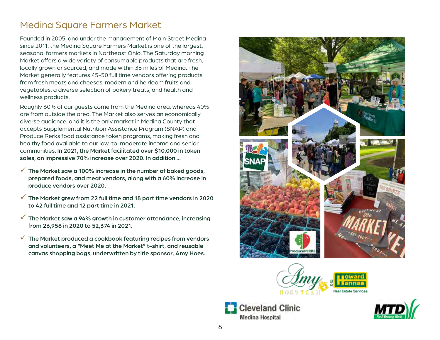## Medina Square Farmers Market

Founded in 2005, and under the management of Main Street Medina since 2011, the Medina Square Farmers Market is one of the largest, seasonal farmers markets in Northeast Ohio. The Saturday morning Market offers a wide variety of consumable products that are fresh, locally grown or sourced, and made within 35 miles of Medina. The Market generally features 45-50 full time vendors offering products from fresh meats and cheeses, modern and heirloom fruits and vegetables, a diverse selection of bakery treats, and health and wellness products.

Roughly 60% of our guests come from the Medina area, whereas 40% are from outside the area. The Market also serves an economically diverse audience, and it is the only market in Medina County that accepts Supplemental Nutrition Assistance Program (SNAP) and Produce Perks food assistance token programs, making fresh and healthy food available to our low-to-moderate income and senior communities. In 2021, the Market facilitated over \$10,000 in token sales, an impressive 70% increase over 2020. In addition ...

- $\checkmark$  The Market saw a 100% increase in the number of baked goods, prepared foods, and meat vendors, along with a 60% increase in produce vendors over 2020.
- $\checkmark$  The Market grew from 22 full time and 18 part time vendors in 2020 to 42 full time and 12 part time in 2021.
- $\checkmark$  The Market saw a 94% growth in customer attendance, increasing from 26,958 in 2020 to 52,374 in 2021.
- The Market produced a cookbook featuring recipes from vendors and volunteers, a "Meet Me at the Market" t-shirt, and reusable canvas shopping bags, underwritten by title sponsor, Amy Hoes.







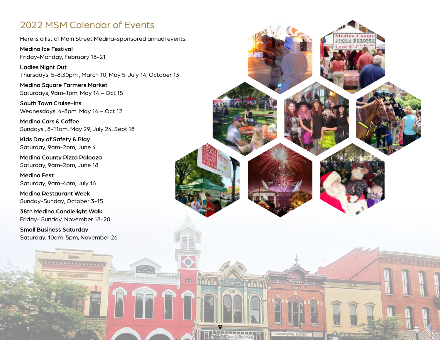### 2022 MSM Calendar of Events

Here is a list of Main Street Medina-sponsored annual events.

Medina Ice Festival Friday-Monday, February 18-21

Ladies Night Out Thursdays, 5-8:30pm , March 10, May 5, July 14, October 13

Medina Square Farmers Market Saturdays, 9am-1pm, May 14 – Oct 15

South Town Cruise-Ins Wednesdays, 4-8pm, May 14 – Oct 12

Medina Cars & Coffee Sundays , 8-11am, May 29, July 24, Sept 18

Kids Day of Safety & Play Saturday, 9am-2pm, June 4

Medina County Pizza Palooza Saturday, 9am-2pm, June 18

Medina Fest Saturday, 9am-4pm, July 16

Medina Restaurant Week Sunday-Sunday, October 3-15

38th Medina Candlelight Walk Friday- Sunday, November 18-20

Small Business Saturday Saturday, 10am-5pm, November 26

**Antonio Constantino** 

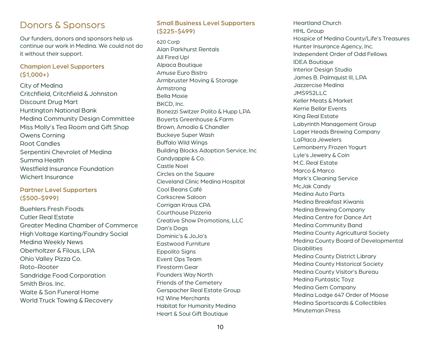### Donors & Sponsors

Our funders, donors and sponsors help us continue our work in Medina. We could not do it without their support.

#### Champion Level Supporters (\$1,000+)

City of Medina Critchfield, Critchfield & Johnston Discount Drug Mart Huntington National Bank Medina Community Design Committee Miss Molly's Tea Room and Gift Shop Owens Corning Root Candles Serpentini Chevrolet of Medina Summa Health Westfield Insurance Foundation Wichert Insurance

#### Partner Level Supporters (\$500-\$999)

Buehlers Fresh Foods Cutler Real Estate hijdho Greater Medina Chamber of Commerce High Voltage Karting/Foundry Social Medina Weekly News Oberholtzer & Filous, LPA Ohio Valley Pizza Co. Roto-Rooter Sandridge Food Corporation Smith Bros. Inc. Waite & Son Funeral Home World Truck Towing & Recovery

#### Small Business Level Supporters (\$225-\$499)

620 Corp Alan Parkhurst Rentals All Fired Up! Alpaca Boutique Amuse Euro Bistro Armbruster Moving & Storage Armstrong Bella Moxie BKCD, Inc. Bonezzi Switzer Polito & Hupp LPA Boyerts Greenhouse & Farm Brown, Amodio & Chandler Buckeye Super Wash Buffalo Wild Wings Building Blocks Adoption Service, Inc Candyapple & Co. Castle Noel Circles on the Square Cleveland Clinic Medina Hospital Cool Beans Café Corkscrew Saloon Corrigan Kraus CPA Courthouse Pizzeria Creative Show Promotions, LLC Dan's Dogs Dominic's & JoJo's Eastwood Furniture Eppolito Signs Event Ops Team Firestorm Gear Founders Way North Friends of the Cemetery Gerspacher Real Estate Group H2 Wine Merchants Habitat for Humanity Medina Heart & Soul Gift Boutique

Heartland Church HHL Group Hospice of Medina County/Life's Treasures Hunter Insurance Agency, Inc. Independent Order of Odd Fellows IDEA Boutique Interior Design Studio James B. Palmquist III, LPA Jazzercise Medina JMS952LLC Keller Meats & Market Kerrie Bellar Events King Real Estate Labyrinth Management Group Lager Heads Brewing Company LaPlaca Jewelers Lemonberry Frozen Yogurt Lyle's Jewelry & Coin M.C. Real Estate Marco & Marco Mark's Cleaning Service McJak Candy Medina Auto Parts Medina Breakfast Kiwanis Medina Brewing Company Medina Centre for Dance Art Medina Community Band Medina County Agricultural Society Medina County Board of Developmental **Disabilities** Medina County District Library Medina County Historical Society Medina County Visitor's Bureau Medina Funtastic Toyz Medina Gem Company Medina Lodge 647 Order of Moose Medina Sportscards & Collectibles Minuteman Press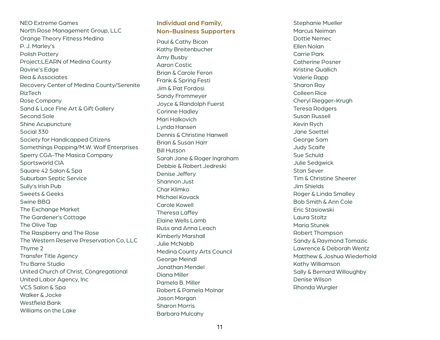NEO Extreme Games North Rose Management Group, LLC Orange Theory Fitness Medina P. J. Marley's Polish Pottery Project:LEARN of Medina County Ravine's Edge Rea & Associates Recovery Center of Medina County/Serenite RizTech Rose Company Sand & Lace Fine Art & Gift Gallery Second Sole Shine Acupuncture Social 330 Society for Handicapped Citizens Somethings Popping/M.W. Wolf Enterprises Sperry CGA-The Masica Company Sportsworld CIA Square 42 Salon & Spa Suburban Septic Service Sully's Irish Pub Sweets & Geeks Swine BBQ The Exchange Market The Gardener's Cottage The Olive Tap The Raspberry and The Rose The Western Reserve Preservation Co, LLC Thyme 2 Transfer Title Agency Tru Barre Studio United Church of Christ, Congregational United Labor Agency, Inc VCS Salon & Spa Walker & Jocke Westfield Bank Williams on the Lake

#### **Individual and Family, Non-Business Supporters**

Paul & Cathy Bican Kathy Breitenbucher Amy Busby Aaron Costic Brian & Carole Feron Frank & Spring Festi Jim & Pat Fordosi Sandy Frommeyer Joyce & Randolph Fuerst Corinne Hadley Mari Halkovich Lynda Hansen Dennis & Christine Hanwell Brian & Susan Harr Bill Hutson Sarah Jane & Roger Ingraham Debbie & Robert Jedreski Denise Jeffery Shannon Just Char Klimko Michael Kovack Carole Kowell Theresa Laffey Elaine Wells Lamb Russ and Anna Leach Kimberly Marshall Julie McNabb Medina County Arts Council George Meindl Jonathan Mendel Diana Miller Pamela B. Miller Robert & Pamela Molnar Jason Morgan Sharon Morris Barbara Mulcahy

Stephanie Mueller Marcus Neiman Dottie Nemec Ellen Nolan Carrie Park Catherine Posner Kristine Quallich Valerie Rapp Sharon Ray Colleen Rice Cheryl Riegger-Krugh Teresa Rodgers Susan Russell Kevin Rych Jane Saettel George Sam Judy Scaife Sue Schuld Julie Sedgwick Stan Sever Tim & Christine Sheerer Jim Shields Roger & Linda Smalley Bob Smith & Ann Cole Eric Stasiowski Laura Stoltz Maria Stunek Robert Thompson Sandy & Raymond Tomazic Lawrence & Deborah Wentz Matthew & Joshua Wiederhold Kathy Williamson Sally & Bernard Willoughby Denise Wilson Rhonda Wurgler